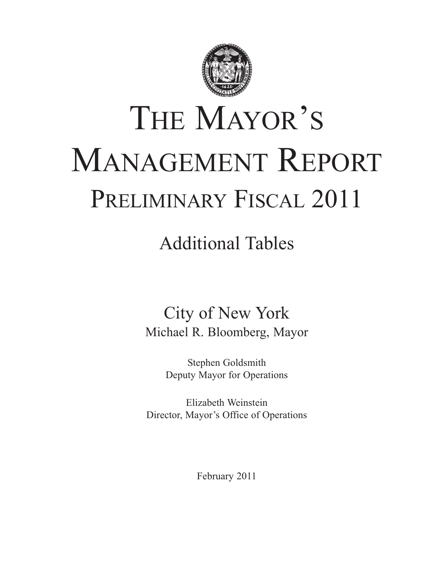

# THE MAYOR'S MANAGEMENT REPORT PRELIMINARY FISCAL 2011

## Additional Tables

## City of New York Michael R. Bloomberg, Mayor

Stephen Goldsmith Deputy Mayor for Operations

Elizabeth Weinstein Director, Mayor's Office of Operations

February 2011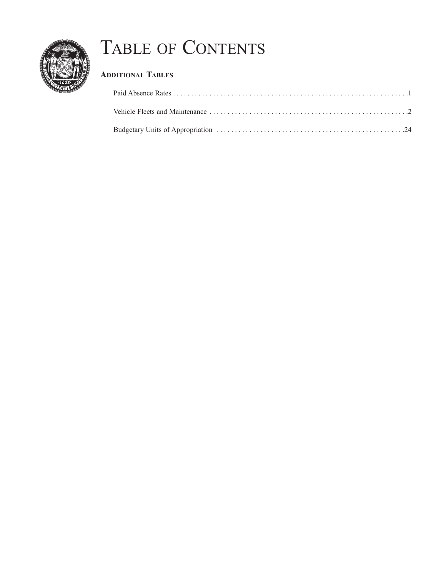

## TABLE OF CONTENTS

## **ADDITIONAL TABLES**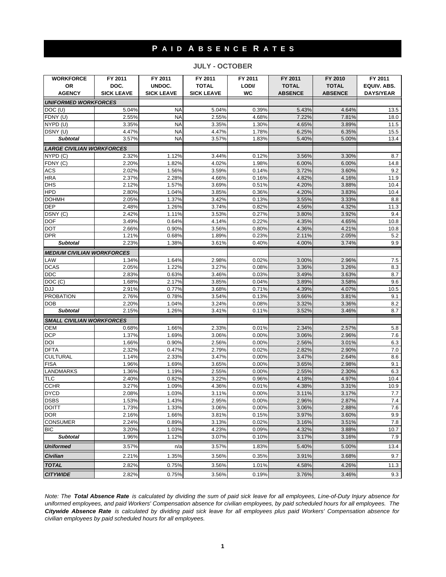## **P A I D A B S E N C E R A T E S**

#### **JULY - OCTOBER**

| <b>WORKFORCE</b>                  | FY 2011           | FY 2011           | FY 2011           | FY 2011   | FY 2011        | FY 2010        | FY 2011          |
|-----------------------------------|-------------------|-------------------|-------------------|-----------|----------------|----------------|------------------|
| OR                                | DOC.              | UNDOC.            | <b>TOTAL</b>      | LODI/     | <b>TOTAL</b>   | <b>TOTAL</b>   | EQUIV. ABS.      |
| <b>AGENCY</b>                     | <b>SICK LEAVE</b> | <b>SICK LEAVE</b> | <b>SICK LEAVE</b> | <b>WC</b> | <b>ABSENCE</b> | <b>ABSENCE</b> | <b>DAYS/YEAR</b> |
| <b>UNIFORMED WORKFORCES</b>       |                   |                   |                   |           |                |                |                  |
| DOC (U)                           | 5.04%             | <b>NA</b>         | 5.04%             | 0.39%     | 5.43%          | 4.64%          | 13.5             |
| FDNY (U)                          | 2.55%             | <b>NA</b>         | 2.55%             | 4.68%     | 7.22%          | 7.81%          | 18.0             |
| NYPD (U)                          | 3.35%             | <b>NA</b>         | 3.35%             | 1.30%     | 4.65%          | 3.89%          | 11.5             |
| DSNY (U)                          | 4.47%             | <b>NA</b>         | 4.47%             | 1.78%     | 6.25%          | 6.35%          | 15.5             |
| <b>Subtotal</b>                   | 3.57%             | <b>NA</b>         | 3.57%             | 1.83%     | 5.40%          | 5.00%          | 13.4             |
| <b>LARGE CIVILIAN WORKFORCES</b>  |                   |                   |                   |           |                |                |                  |
| NYPD (C)                          | 2.32%             | 1.12%             | 3.44%             | 0.12%     | 3.56%          | 3.30%          | 8.7              |
| FDNY (C)                          | 2.20%             | 1.82%             | 4.02%             | 1.98%     | 6.00%          | 6.00%          | 14.8             |
| <b>ACS</b>                        | 2.02%             | 1.56%             | 3.59%             | 0.14%     | 3.72%          | 3.60%          | 9.2              |
| <b>HRA</b>                        | 2.37%             | 2.28%             | 4.66%             | 0.16%     | 4.82%          | 4.16%          | 11.9             |
| <b>DHS</b>                        | 2.12%             | 1.57%             | 3.69%             | 0.51%     | 4.20%          | 3.88%          | 10.4             |
| <b>HPD</b>                        | 2.80%             | 1.04%             | 3.85%             | 0.36%     | 4.20%          | 3.83%          | 10.4             |
| <b>DOHMH</b>                      | 2.05%             | 1.37%             | 3.42%             | 0.13%     | 3.55%          | 3.33%          | 8.8              |
| <b>DEP</b>                        | 2.48%             | 1.26%             | 3.74%             | 0.82%     | 4.56%          | 4.32%          | 11.3             |
| DSNY (C)                          | 2.42%             | 1.11%             | 3.53%             | 0.27%     | 3.80%          | 3.92%          | 9.4              |
| <b>DOF</b>                        | 3.49%             | 0.64%             | 4.14%             | 0.22%     | 4.35%          | 4.65%          | 10.8             |
| <b>DOT</b>                        | 2.66%             | 0.90%             | 3.56%             | 0.80%     | 4.36%          | 4.21%          | 10.8             |
| <b>DPR</b>                        | 1.21%             | 0.68%             | 1.89%             | 0.23%     | 2.11%          | 2.05%          | 5.2              |
| <b>Subtotal</b>                   | 2.23%             | 1.38%             | 3.61%             | 0.40%     | 4.00%          | 3.74%          | 9.9              |
| <b>MEDIUM CIVILIAN WORKFORCES</b> |                   |                   |                   |           |                |                |                  |
| LAW                               | 1.34%             | 1.64%             | 2.98%             | 0.02%     | 3.00%          | 2.96%          | 7.5              |
| <b>DCAS</b>                       | 2.05%             | 1.22%             | 3.27%             | 0.08%     | 3.36%          | 3.26%          | 8.3              |
| <b>DDC</b>                        | 2.83%             | 0.63%             | 3.46%             | 0.03%     | 3.49%          | 3.63%          | 8.7              |
| DOC (C)                           | 1.68%             | 2.17%             | 3.85%             | 0.04%     | 3.89%          | 3.58%          | 9.6              |
| <b>DJJ</b>                        | 2.91%             | 0.77%             | 3.68%             | 0.71%     | 4.39%          | 4.07%          | 10.5             |
| <b>PROBATION</b>                  | 2.76%             | 0.78%             | 3.54%             | 0.13%     | 3.66%          | 3.81%          | 9.1              |
| <b>DOB</b>                        | 2.20%             | 1.04%             | 3.24%             | 0.08%     | 3.32%          | 3.36%          | 8.2              |
| <b>Subtotal</b>                   | 2.15%             | 1.26%             | 3.41%             | 0.11%     | 3.52%          | 3.46%          | 8.7              |
| <b>SMALL CIVILIAN WORKFORCES</b>  |                   |                   |                   |           |                |                |                  |
| <b>OEM</b>                        | 0.68%             | 1.66%             | 2.33%             | 0.01%     | 2.34%          | 2.57%          | 5.8              |
| <b>DCP</b>                        | 1.37%             | 1.69%             | 3.06%             | 0.00%     | 3.06%          | 2.96%          | 7.6              |
| DOI                               | 1.66%             | 0.90%             | 2.56%             | 0.00%     | 2.56%          | 3.01%          | 6.3              |
| <b>DFTA</b>                       | 2.32%             | 0.47%             | 2.79%             | 0.02%     | 2.82%          | 2.90%          | 7.0              |
| <b>CULTURAL</b>                   | 1.14%             | 2.33%             | 3.47%             | 0.00%     | 3.47%          | 2.64%          | 8.6              |
| <b>FISA</b>                       | 1.96%             | 1.69%             | 3.65%             | 0.00%     | 3.65%          | 2.98%          | 9.1              |
| LANDMARKS                         | 1.36%             | 1.19%             | 2.55%             | 0.00%     | 2.55%          | 2.30%          | 6.3              |
| <b>TLC</b>                        | 2.40%             | 0.82%             | 3.22%             | 0.96%     | 4.18%          | 4.97%          | 10.4             |
| <b>CCHR</b>                       | 3.27%             | 1.09%             | 4.36%             | 0.01%     | 4.38%          | 3.31%          | 10.9             |
| <b>DYCD</b>                       | 2.08%             | 1.03%             | 3.11%             | 0.00%     | 3.11%          | 3.17%          | 7.7              |
| <b>DSBS</b>                       | 1.53%             | 1.43%             | 2.95%             | 0.00%     | 2.96%          | 2.87%          | 7.4              |
| <b>DOITT</b>                      | 1.73%             | 1.33%             | 3.06%             | 0.00%     | 3.06%          | 2.88%          | 7.6              |
| <b>DOR</b>                        | 2.16%             | 1.66%             | 3.81%             | 0.15%     | 3.97%          | 3.60%          | 9.9              |
| <b>CONSUMER</b>                   | 2.24%             | 0.89%             | 3.13%             | 0.02%     | 3.16%          | 3.51%          | 7.8              |
| <b>BIC</b>                        | 3.20%             | 1.03%             | 4.23%             | 0.09%     | 4.32%          | 3.88%          | 10.7             |
| <b>Subtotal</b>                   | 1.96%             | 1.12%             | 3.07%             | 0.10%     | 3.17%          | 3.16%          | 7.9              |
| <b>Uniformed</b>                  | 3.57%             | n/a               | 3.57%             | 1.83%     | 5.40%          | 5.00%          | 13.4             |
| <b>Civilian</b>                   | 2.21%             | 1.35%             | 3.56%             | 0.35%     | 3.91%          | 3.68%          | 9.7              |
| <b>TOTAL</b>                      |                   |                   |                   |           |                |                |                  |
|                                   | 2.82%             | 0.75%             | 3.56%             | 1.01%     | 4.58%          | 4.26%          | 11.3             |
| <b>CITYWIDE</b>                   | 2.82%             | 0.75%             | 3.56%             | 0.19%     | 3.76%          | 3.46%          | 9.3              |

*Note: The Total Absence Rate is calculated by dividing the sum of paid sick leave for all employees, Line-of-Duty Injury absence for uniformed employees, and paid Workers' Compensation absence for civilian employees, by paid scheduled hours for all employees. The Citywide Absence Rate is calculated by dividing paid sick leave for all employees plus paid Workers' Compensation absence for civilian employees by paid scheduled hours for all employees.*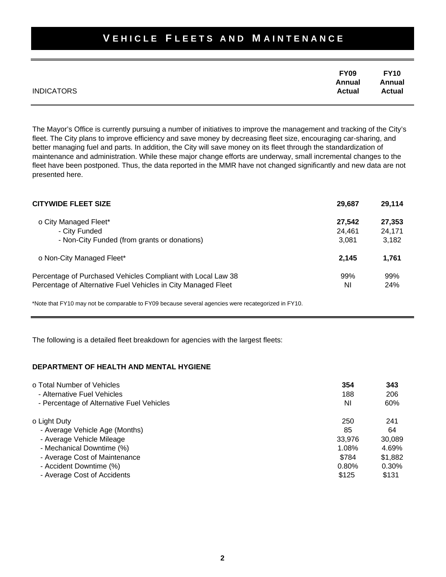| <b>INDICATORS</b> | <b>FY09</b><br>Annual<br>Actual | <b>FY10</b><br>Annual<br><b>Actual</b> |
|-------------------|---------------------------------|----------------------------------------|
|                   |                                 |                                        |

The Mayor's Office is currently pursuing a number of initiatives to improve the management and tracking of the City's fleet. The City plans to improve efficiency and save money by decreasing fleet size, encouraging car-sharing, and better managing fuel and parts. In addition, the City will save money on its fleet through the standardization of maintenance and administration. While these major change efforts are underway, small incremental changes to the fleet have been postponed. Thus, the data reported in the MMR have not changed significantly and new data are not presented here.

| <b>CITYWIDE FLEET SIZE</b>                                    | 29.687 | 29,114 |
|---------------------------------------------------------------|--------|--------|
| o City Managed Fleet*                                         | 27.542 | 27,353 |
| - City Funded                                                 | 24.461 | 24,171 |
| - Non-City Funded (from grants or donations)                  | 3.081  | 3,182  |
| o Non-City Managed Fleet*                                     | 2.145  | 1,761  |
| Percentage of Purchased Vehicles Compliant with Local Law 38  | 99%    | 99%    |
| Percentage of Alternative Fuel Vehicles in City Managed Fleet | ΝI     | 24%    |

\*Note that FY10 may not be comparable to FY09 because several agencies were recategorized in FY10.

The following is a detailed fleet breakdown for agencies with the largest fleets:

#### **DEPARTMENT OF HEALTH AND MENTAL HYGIENE**

| o Total Number of Vehicles                | 354    | 343     |
|-------------------------------------------|--------|---------|
| - Alternative Fuel Vehicles               | 188    | 206     |
| - Percentage of Alternative Fuel Vehicles | ΝI     | 60%     |
| o Light Duty                              | 250    | 241     |
| - Average Vehicle Age (Months)            | 85     | 64      |
| - Average Vehicle Mileage                 | 33.976 | 30,089  |
| - Mechanical Downtime (%)                 | 1.08%  | 4.69%   |
| - Average Cost of Maintenance             | \$784  | \$1,882 |
| - Accident Downtime (%)                   | 0.80%  | 0.30%   |
| - Average Cost of Accidents               | \$125  | \$131   |
|                                           |        |         |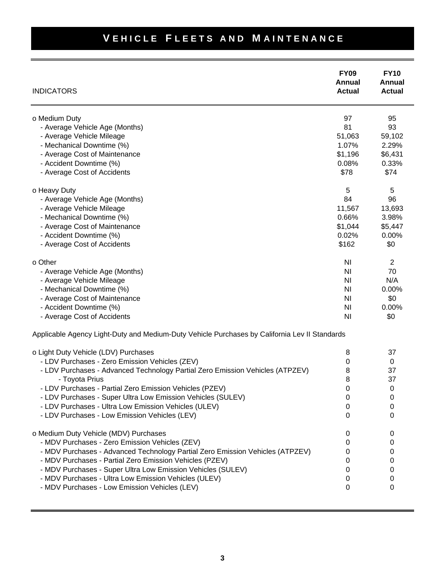| <b>INDICATORS</b>                                                                             | <b>FY09</b><br>Annual<br><b>Actual</b> | <b>FY10</b><br>Annual<br><b>Actual</b> |
|-----------------------------------------------------------------------------------------------|----------------------------------------|----------------------------------------|
| o Medium Duty                                                                                 | 97                                     | 95                                     |
| - Average Vehicle Age (Months)                                                                | 81                                     | 93                                     |
| - Average Vehicle Mileage                                                                     | 51,063                                 | 59,102                                 |
| - Mechanical Downtime (%)                                                                     | 1.07%                                  | 2.29%                                  |
| - Average Cost of Maintenance                                                                 | \$1,196                                | \$6,431                                |
| - Accident Downtime (%)                                                                       | 0.08%                                  | 0.33%                                  |
| - Average Cost of Accidents                                                                   | \$78                                   | \$74                                   |
| o Heavy Duty                                                                                  | 5                                      | 5                                      |
| - Average Vehicle Age (Months)                                                                | 84                                     | 96                                     |
| - Average Vehicle Mileage                                                                     | 11,567                                 | 13,693                                 |
| - Mechanical Downtime (%)                                                                     | 0.66%                                  | 3.98%                                  |
| - Average Cost of Maintenance                                                                 | \$1,044                                | \$5,447                                |
| - Accident Downtime (%)                                                                       | 0.02%                                  | 0.00%                                  |
| - Average Cost of Accidents                                                                   | \$162                                  | \$0                                    |
| o Other                                                                                       | N <sub>l</sub>                         | 2                                      |
| - Average Vehicle Age (Months)                                                                | ΝI                                     | 70                                     |
| - Average Vehicle Mileage                                                                     | ΝI                                     | N/A                                    |
| - Mechanical Downtime (%)                                                                     | N <sub>l</sub>                         | 0.00%                                  |
| - Average Cost of Maintenance                                                                 | ΝI                                     | \$0                                    |
| - Accident Downtime (%)                                                                       | N <sub>l</sub>                         | 0.00%                                  |
| - Average Cost of Accidents                                                                   | N <sub>l</sub>                         | \$0                                    |
| Applicable Agency Light-Duty and Medium-Duty Vehicle Purchases by California Lev II Standards |                                        |                                        |
| o Light Duty Vehicle (LDV) Purchases                                                          | 8                                      | 37                                     |
| - LDV Purchases - Zero Emission Vehicles (ZEV)                                                | $\pmb{0}$                              | 0                                      |
| - LDV Purchases - Advanced Technology Partial Zero Emission Vehicles (ATPZEV)                 | 8                                      | 37                                     |
| - Toyota Prius                                                                                | 8                                      | 37                                     |
| - LDV Purchases - Partial Zero Emission Vehicles (PZEV)                                       | 0                                      | 0                                      |
| - LDV Purchases - Super Ultra Low Emission Vehicles (SULEV)                                   | 0                                      | 0                                      |
| - LDV Purchases - Ultra Low Emission Vehicles (ULEV)                                          | 0                                      | O                                      |
| - LDV Purchases - Low Emission Vehicles (LEV)                                                 | 0                                      | 0                                      |
| o Medium Duty Vehicle (MDV) Purchases                                                         | 0                                      | 0                                      |
| - MDV Purchases - Zero Emission Vehicles (ZEV)                                                | 0                                      | 0                                      |
| - MDV Purchases - Advanced Technology Partial Zero Emission Vehicles (ATPZEV)                 | 0                                      | 0                                      |
| - MDV Purchases - Partial Zero Emission Vehicles (PZEV)                                       | 0                                      | 0                                      |
| - MDV Purchases - Super Ultra Low Emission Vehicles (SULEV)                                   | 0                                      | 0                                      |
| - MDV Purchases - Ultra Low Emission Vehicles (ULEV)                                          | 0                                      | 0                                      |
| - MDV Purchases - Low Emission Vehicles (LEV)                                                 | 0                                      | 0                                      |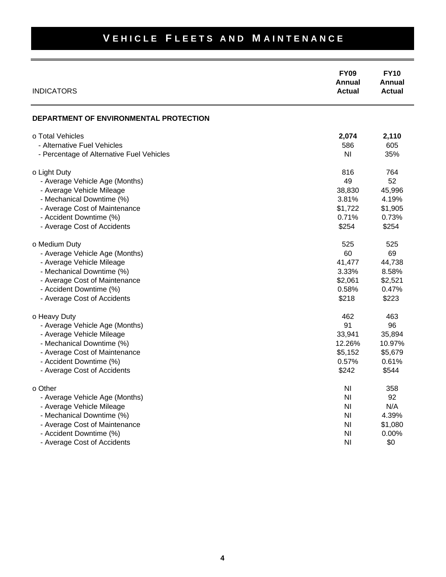| <b>INDICATORS</b>                         | <b>FY09</b><br>Annual<br><b>Actual</b> | <b>FY10</b><br>Annual<br><b>Actual</b> |
|-------------------------------------------|----------------------------------------|----------------------------------------|
| DEPARTMENT OF ENVIRONMENTAL PROTECTION    |                                        |                                        |
| o Total Vehicles                          | 2,074                                  | 2,110                                  |
| - Alternative Fuel Vehicles               | 586                                    | 605                                    |
| - Percentage of Alternative Fuel Vehicles | N <sub>l</sub>                         | 35%                                    |
| o Light Duty                              | 816                                    | 764                                    |
| - Average Vehicle Age (Months)            | 49                                     | 52                                     |
| - Average Vehicle Mileage                 | 38,830                                 | 45,996                                 |
| - Mechanical Downtime (%)                 | 3.81%                                  | 4.19%                                  |
| - Average Cost of Maintenance             | \$1,722                                | \$1,905                                |
| - Accident Downtime (%)                   | 0.71%                                  | 0.73%                                  |
| - Average Cost of Accidents               | \$254                                  | \$254                                  |
| o Medium Duty                             | 525                                    | 525                                    |
| - Average Vehicle Age (Months)            | 60                                     | 69                                     |
| - Average Vehicle Mileage                 | 41,477                                 | 44,738                                 |
| - Mechanical Downtime (%)                 | 3.33%                                  | 8.58%                                  |
| - Average Cost of Maintenance             | \$2,061                                | \$2,521                                |
| - Accident Downtime (%)                   | 0.58%                                  | 0.47%                                  |
| - Average Cost of Accidents               | \$218                                  | \$223                                  |
| o Heavy Duty                              | 462                                    | 463                                    |
| - Average Vehicle Age (Months)            | 91                                     | 96                                     |
| - Average Vehicle Mileage                 | 33,941                                 | 35,894                                 |
| - Mechanical Downtime (%)                 | 12.26%                                 | 10.97%                                 |
| - Average Cost of Maintenance             | \$5,152                                | \$5,679                                |
| - Accident Downtime (%)                   | 0.57%                                  | 0.61%                                  |
| - Average Cost of Accidents               | \$242                                  | \$544                                  |
| o Other                                   | N <sub>l</sub>                         | 358                                    |
| - Average Vehicle Age (Months)            | N <sub>l</sub>                         | 92                                     |
| - Average Vehicle Mileage                 | N <sub>l</sub>                         | N/A                                    |
| - Mechanical Downtime (%)                 | N <sub>l</sub>                         | 4.39%                                  |
| - Average Cost of Maintenance             | N <sub>l</sub>                         | \$1,080                                |
| - Accident Downtime (%)                   | N <sub>l</sub>                         | 0.00%                                  |
| - Average Cost of Accidents               | N <sub>l</sub>                         | \$0                                    |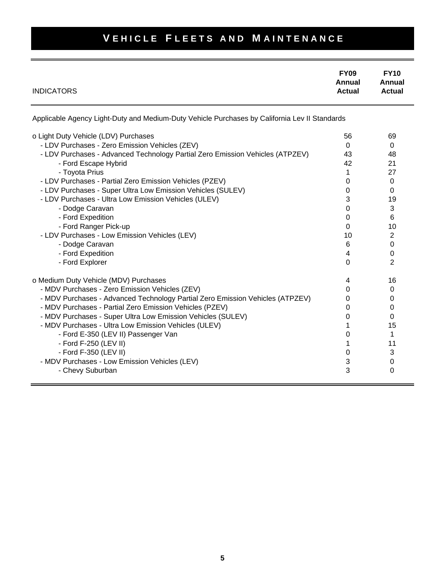|                   | <b>FY09</b>             | <b>FY10</b>             |
|-------------------|-------------------------|-------------------------|
| <b>INDICATORS</b> | Annual<br><b>Actual</b> | Annual<br><b>Actual</b> |
|                   |                         |                         |

Applicable Agency Light-Duty and Medium-Duty Vehicle Purchases by California Lev II Standards

| o Light Duty Vehicle (LDV) Purchases                                          | 56 | 69             |
|-------------------------------------------------------------------------------|----|----------------|
| - LDV Purchases - Zero Emission Vehicles (ZEV)                                | 0  | 0              |
| - LDV Purchases - Advanced Technology Partial Zero Emission Vehicles (ATPZEV) | 43 | 48             |
| - Ford Escape Hybrid                                                          | 42 | 21             |
| - Toyota Prius                                                                |    | 27             |
| - LDV Purchases - Partial Zero Emission Vehicles (PZEV)                       | 0  | 0              |
| - LDV Purchases - Super Ultra Low Emission Vehicles (SULEV)                   | 0  | 0              |
| - LDV Purchases - Ultra Low Emission Vehicles (ULEV)                          | 3  | 19             |
| - Dodge Caravan                                                               | 0  | 3              |
| - Ford Expedition                                                             | 0  | 6              |
| - Ford Ranger Pick-up                                                         | 0  | 10             |
| - LDV Purchases - Low Emission Vehicles (LEV)                                 | 10 | 2              |
| - Dodge Caravan                                                               | 6  | 0              |
| - Ford Expedition                                                             | 4  | 0              |
| - Ford Explorer                                                               | 0  | $\overline{2}$ |
| o Medium Duty Vehicle (MDV) Purchases                                         | 4  | 16             |
| - MDV Purchases - Zero Emission Vehicles (ZEV)                                | 0  | 0              |
| - MDV Purchases - Advanced Technology Partial Zero Emission Vehicles (ATPZEV) | O  | 0              |
| - MDV Purchases - Partial Zero Emission Vehicles (PZEV)                       | 0  | 0              |
| - MDV Purchases - Super Ultra Low Emission Vehicles (SULEV)                   | 0  | 0              |
| - MDV Purchases - Ultra Low Emission Vehicles (ULEV)                          |    | 15             |
| - Ford E-350 (LEV II) Passenger Van                                           | O  | 1              |
| - Ford F-250 (LEV II)                                                         |    | 11             |
| - Ford F-350 (LEV II)                                                         | 0  | 3              |
| - MDV Purchases - Low Emission Vehicles (LEV)                                 | 3  | 0              |
| - Chevy Suburban                                                              | 3  | 0              |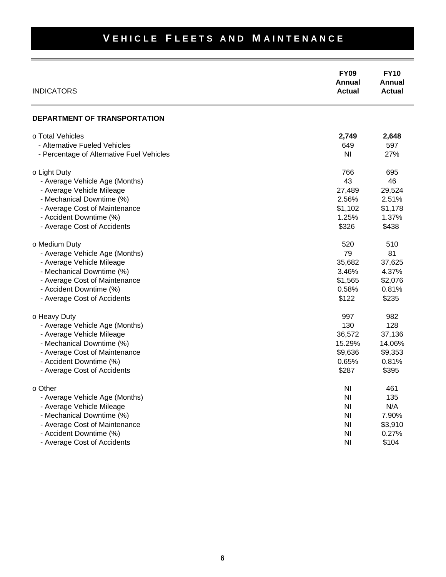#### **FY09 FY10 Annual Annual INDICATORS Actual Actual Actual Actual Actual Actual Actual DEPARTMENT OF TRANSPORTATION** o Total Vehicles **2,749 2,648** - Alternative Fueled Vehicles 649 597 - Percentage of Alternative Fuel Vehicles NI 27% o Light Duty 695 - Average Vehicle Age (Months) 46 and 46 and 46 and 46 and 46 and 46 and 46 and 46 and 46 and 46 and 46 and 46 - Average Vehicle Mileage 27,489 29,524 - Mechanical Downtime (%) 2.56% 2.51% - Average Cost of Maintenance **\$1,102** \$1,178 - Accident Downtime (%) 1.25% 1.37% - Average Cost of Accidents  $$438$ o Medium Duty 620 510 - Average Vehicle Age (Months) **79** 81 - Average Vehicle Mileage 35,682 37,625 - Mechanical Downtime (%) 3.46% 4.37% - Average Cost of Maintenance **\$1,565** \$2,076 - Accident Downtime (%) 0.58% 0.81% - Average Cost of Accidents  $$235$ o Heavy Duty 982 - Average Vehicle Age (Months) 130 128 - Average Vehicle Mileage 36,572 37,136 - Mechanical Downtime (%) 15.29% 14.06% - Average Cost of Maintenance **\$9,636** \$9,353 - Accident Downtime (%) 0.65% 0.81% - Average Cost of Accidents  $$395$ o Other NI and 161 and 161 and 161 and 161 and 161 and 161 and 161 and 161 and 161 and 161 and 161 and 161 and - Average Vehicle Age (Months) Ni 135 - Average Vehicle Mileage NI N/A - Mechanical Downtime (%) and the state of the state of the state of the state of the state of the state of the state of the state of the state of the state of the state of the state of the state of the state of the state - Average Cost of Maintenance **NI** \$3,910 - Accident Downtime (%) and the state of the state of the state of the state of the state of the state of the state of the state of the state of the state of the state of the state of the state of the state of the state of

**VEHICLE FLEETS AND MAINTENANCE** 

- Average Cost of Accidents **NI** \$104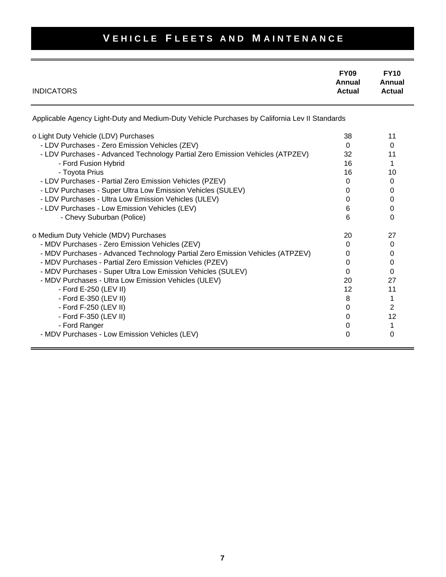| <b>INDICATORS</b>                                                                             | <b>FY09</b><br>Annual<br><b>Actual</b> | <b>FY10</b><br>Annual<br><b>Actual</b> |
|-----------------------------------------------------------------------------------------------|----------------------------------------|----------------------------------------|
| Applicable Agency Light-Duty and Medium-Duty Vehicle Purchases by California Lev II Standards |                                        |                                        |
| o Light Duty Vehicle (LDV) Purchases                                                          | 38                                     | 11                                     |
| - LDV Purchases - Zero Emission Vehicles (ZEV)                                                | $\Omega$                               | $\Omega$                               |
| - LDV Purchases - Advanced Technology Partial Zero Emission Vehicles (ATPZEV)                 | 32                                     | 11                                     |
| - Ford Fusion Hybrid                                                                          | 16                                     | 1                                      |
| - Toyota Prius                                                                                | 16                                     | 10                                     |
| - LDV Purchases - Partial Zero Emission Vehicles (PZEV)                                       | $\Omega$                               | $\Omega$                               |
| - LDV Purchases - Super Ultra Low Emission Vehicles (SULEV)                                   | $\Omega$                               | 0                                      |
| - LDV Purchases - Ultra Low Emission Vehicles (ULEV)                                          | 0                                      | 0                                      |
| - LDV Purchases - Low Emission Vehicles (LEV)                                                 | 6                                      | 0                                      |
| - Chevy Suburban (Police)                                                                     | 6                                      | $\Omega$                               |
| o Medium Duty Vehicle (MDV) Purchases                                                         | 20                                     | 27                                     |
| - MDV Purchases - Zero Emission Vehicles (ZEV)                                                | $\Omega$                               | 0                                      |
| - MDV Purchases - Advanced Technology Partial Zero Emission Vehicles (ATPZEV)                 | 0                                      | 0                                      |
| - MDV Purchases - Partial Zero Emission Vehicles (PZEV)                                       | 0                                      | 0                                      |
| - MDV Purchases - Super Ultra Low Emission Vehicles (SULEV)                                   | 0                                      | $\Omega$                               |
| - MDV Purchases - Ultra Low Emission Vehicles (ULEV)                                          | 20                                     | 27                                     |
| - Ford E-250 (LEV II)                                                                         | 12                                     | 11                                     |
| - Ford E-350 (LEV II)                                                                         | 8                                      | 1                                      |
| - Ford F-250 (LEV II)                                                                         | $\Omega$                               | 2                                      |
| - Ford F-350 (LEV II)                                                                         | 0                                      | 12                                     |
| - Ford Ranger                                                                                 | 0                                      | 1                                      |
| - MDV Purchases - Low Emission Vehicles (LEV)                                                 | 0                                      | 0                                      |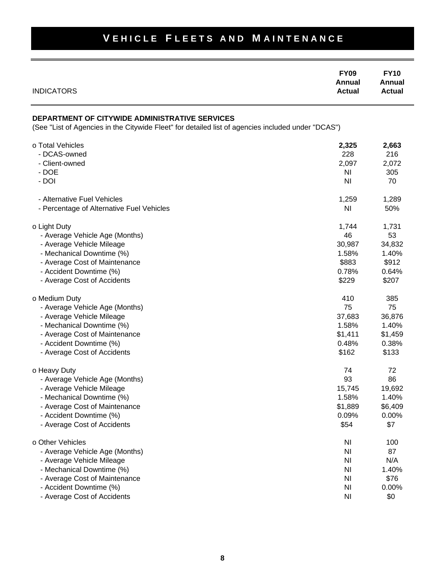#### **FY09 FY10 Annual Annual INDICATORS Actual Actual Actual Actual Actual Actual Actual DEPARTMENT OF CITYWIDE ADMINISTRATIVE SERVICES** (See "List of Agencies in the Citywide Fleet" for detailed list of agencies included under "DCAS") o Total Vehicles **2,325 2,663** - DCAS-owned 228 216 - Client-owned 2,097 2,072 - DOE NI 305 - DOI NI 70 - Alternative Fuel Vehicles **1,289** 1,289 1,289 - Percentage of Alternative Fuel Vehicles NI 50% o Light Duty 1,744 1,731 - Average Vehicle Age (Months) 46 53 - Average Vehicle Mileage 30,987 34,832 - Mechanical Downtime (%) 1.58% 1.40% - Average Cost of Maintenance **\$883** \$912 - Accident Downtime (%) 0.78% 0.64% - Average Cost of Accidents  $$207$ o Medium Duty 410 385 - Average Vehicle Age (Months) 75 75 - Average Vehicle Mileage 36,876 - Mechanical Downtime (%) 1.58% 1.40% - Average Cost of Maintenance **\$1,411** \$1,459 - Accident Downtime (%) 0.48% 0.38% - Average Cost of Accidents  $$133$ o Heavy Duty 72 72 - Average Vehicle Age (Months) 93 86 - Average Vehicle Mileage 15,745 19,692 - Mechanical Downtime (%) 1.58% 1.40% - Average Cost of Maintenance **\$1,889** \$6,409 - Accident Downtime (%) and the contract of the contract of the contract of the contract of the contract of the contract of the contract of the contract of the contract of the contract of the contract of the contract of th - Average Cost of Accidents  $$7$ o Other Vehicles **NI 100** - Average Vehicle Age (Months) NI 87 - Average Vehicle Mileage NI N/A - Mechanical Downtime (%) and the state of the state of the state of the state of the state of the state of the state of the state of the state of the state of the state of the state of the state of the state of the state - Average Cost of Maintenance NI \$76 - Accident Downtime (%) and the state of the state of the state of the state of the state of the state of the state of the state of the state of the state of the state of the state of the state of the state of the state of - Average Cost of Accidents **Automobia Control Control Control Control Control Control Control Control Control Control Control Control Control Control Control Control Control Control Control Control Control Control Control**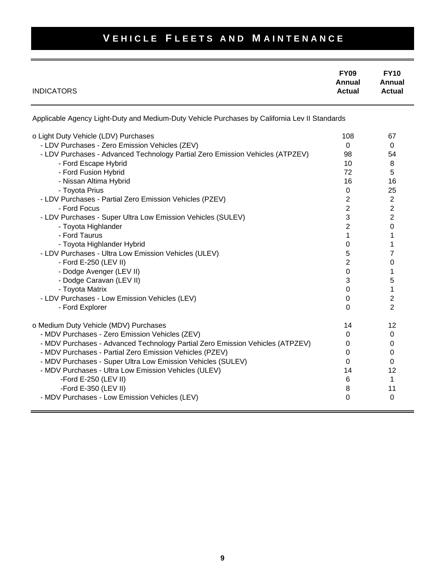| <b>INDICATORS</b>                                                                                                               | <b>FY09</b><br>Annual<br><b>Actual</b> | <b>FY10</b><br>Annual<br><b>Actual</b> |
|---------------------------------------------------------------------------------------------------------------------------------|----------------------------------------|----------------------------------------|
| Applicable Agency Light-Duty and Medium-Duty Vehicle Purchases by California Lev II Standards                                   |                                        |                                        |
| o Light Duty Vehicle (LDV) Purchases                                                                                            | 108                                    | 67<br>0                                |
| - LDV Purchases - Zero Emission Vehicles (ZEV)<br>- LDV Purchases - Advanced Technology Partial Zero Emission Vehicles (ATPZEV) | 0<br>98                                | 54                                     |
| - Ford Escape Hybrid                                                                                                            | 10 <sup>1</sup>                        | 8                                      |
| - Ford Fusion Hybrid                                                                                                            | 72                                     | 5                                      |
| - Nissan Altima Hybrid                                                                                                          | 16                                     | 16                                     |
| - Toyota Prius                                                                                                                  | 0                                      | 25                                     |
| - LDV Purchases - Partial Zero Emission Vehicles (PZEV)                                                                         | $\sqrt{2}$                             | $\sqrt{2}$                             |
| - Ford Focus                                                                                                                    | $\overline{2}$                         | 2                                      |
| - LDV Purchases - Super Ultra Low Emission Vehicles (SULEV)                                                                     | 3                                      | 2                                      |
| - Toyota Highlander                                                                                                             | $\overline{2}$                         | 0                                      |
| - Ford Taurus                                                                                                                   | 1                                      | 1                                      |
| - Toyota Highlander Hybrid                                                                                                      | 0                                      | 1                                      |
| - LDV Purchases - Ultra Low Emission Vehicles (ULEV)                                                                            | 5                                      | 7                                      |
| - Ford E-250 (LEV II)                                                                                                           | $\overline{2}$                         | 0                                      |
| - Dodge Avenger (LEV II)                                                                                                        | 0                                      | 1                                      |
| - Dodge Caravan (LEV II)                                                                                                        | 3                                      | 5                                      |
| - Toyota Matrix                                                                                                                 | $\mathbf 0$                            | 1                                      |
| - LDV Purchases - Low Emission Vehicles (LEV)                                                                                   | $\Omega$                               | 2                                      |
| - Ford Explorer                                                                                                                 | $\Omega$                               | $\overline{2}$                         |
| o Medium Duty Vehicle (MDV) Purchases                                                                                           | 14                                     | 12                                     |
| - MDV Purchases - Zero Emission Vehicles (ZEV)                                                                                  | 0                                      | 0                                      |
| - MDV Purchases - Advanced Technology Partial Zero Emission Vehicles (ATPZEV)                                                   | 0                                      | 0                                      |
| - MDV Purchases - Partial Zero Emission Vehicles (PZEV)                                                                         | 0                                      | 0                                      |
| - MDV Purchases - Super Ultra Low Emission Vehicles (SULEV)                                                                     | 0                                      | 0                                      |
| - MDV Purchases - Ultra Low Emission Vehicles (ULEV)                                                                            | 14                                     | 12                                     |
| -Ford E-250 (LEV II)                                                                                                            | 6                                      | 1                                      |
| -Ford E-350 (LEV II)                                                                                                            | 8                                      | 11                                     |
| - MDV Purchases - Low Emission Vehicles (LEV)                                                                                   | 0                                      | $\Omega$                               |
|                                                                                                                                 |                                        |                                        |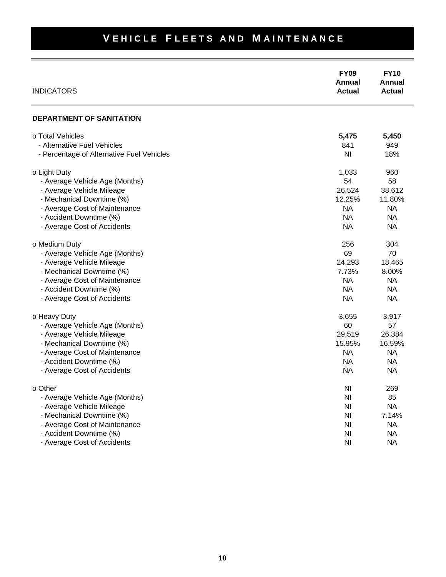| <b>INDICATORS</b>                               | <b>FY09</b><br>Annual<br><b>Actual</b> | <b>FY10</b><br>Annual<br><b>Actual</b> |
|-------------------------------------------------|----------------------------------------|----------------------------------------|
| <b>DEPARTMENT OF SANITATION</b>                 |                                        |                                        |
| o Total Vehicles<br>- Alternative Fuel Vehicles | 5,475<br>841                           | 5,450<br>949                           |
| - Percentage of Alternative Fuel Vehicles       | N <sub>l</sub>                         | 18%                                    |
| o Light Duty                                    | 1,033                                  | 960                                    |
| - Average Vehicle Age (Months)                  | 54                                     | 58                                     |
| - Average Vehicle Mileage                       | 26,524                                 | 38,612                                 |
| - Mechanical Downtime (%)                       | 12.25%                                 | 11.80%                                 |
| - Average Cost of Maintenance                   | <b>NA</b>                              | <b>NA</b>                              |
| - Accident Downtime (%)                         | <b>NA</b>                              | <b>NA</b>                              |
| - Average Cost of Accidents                     | <b>NA</b>                              | <b>NA</b>                              |
| o Medium Duty                                   | 256                                    | 304                                    |
| - Average Vehicle Age (Months)                  | 69                                     | 70                                     |
| - Average Vehicle Mileage                       | 24,293                                 | 18,465                                 |
| - Mechanical Downtime (%)                       | 7.73%                                  | 8.00%                                  |
| - Average Cost of Maintenance                   | <b>NA</b>                              | <b>NA</b>                              |
| - Accident Downtime (%)                         | <b>NA</b>                              | <b>NA</b>                              |
| - Average Cost of Accidents                     | <b>NA</b>                              | <b>NA</b>                              |
| o Heavy Duty                                    | 3,655                                  | 3,917                                  |
| - Average Vehicle Age (Months)                  | 60                                     | 57                                     |
| - Average Vehicle Mileage                       | 29,519                                 | 26,384                                 |
| - Mechanical Downtime (%)                       | 15.95%                                 | 16.59%                                 |
| - Average Cost of Maintenance                   | <b>NA</b>                              | <b>NA</b>                              |
| - Accident Downtime (%)                         | <b>NA</b>                              | <b>NA</b>                              |
| - Average Cost of Accidents                     | <b>NA</b>                              | NA                                     |
| n Other                                         | NI                                     | 269                                    |
| - Average Vehicle Age (Months)                  | N <sub>l</sub>                         | 85                                     |
| - Average Vehicle Mileage                       | N <sub>l</sub>                         | <b>NA</b>                              |
| - Mechanical Downtime (%)                       | N <sub>l</sub>                         | 7.14%                                  |
| - Average Cost of Maintenance                   | N <sub>l</sub>                         | NA                                     |
| - Accident Downtime (%)                         | N <sub>l</sub>                         | <b>NA</b>                              |
| - Average Cost of Accidents                     | N <sub>l</sub>                         | NA                                     |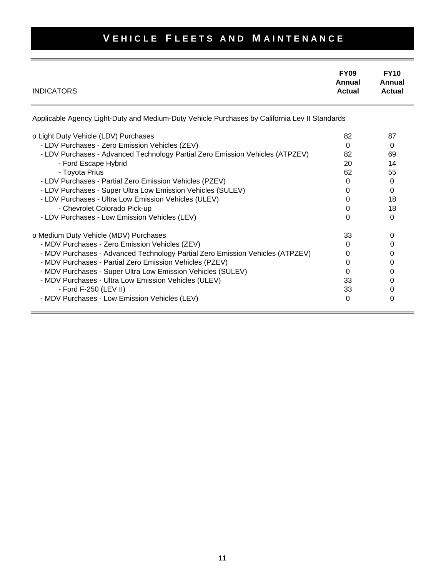| <b>INDICATORS</b>                                                                             | <b>FY09</b><br>Annual<br><b>Actual</b> | <b>FY10</b><br>Annual<br><b>Actual</b> |
|-----------------------------------------------------------------------------------------------|----------------------------------------|----------------------------------------|
| Applicable Agency Light-Duty and Medium-Duty Vehicle Purchases by California Lev II Standards |                                        |                                        |
| o Light Duty Vehicle (LDV) Purchases                                                          | 82                                     | 87                                     |
| - LDV Purchases - Zero Emission Vehicles (ZEV)                                                | $\Omega$                               | 0                                      |
| - LDV Purchases - Advanced Technology Partial Zero Emission Vehicles (ATPZEV)                 | 82                                     | 69                                     |
| - Ford Escape Hybrid                                                                          | 20                                     | 14                                     |
| - Toyota Prius                                                                                | 62                                     | 55                                     |
| - LDV Purchases - Partial Zero Emission Vehicles (PZEV)                                       | 0                                      | $\Omega$                               |
| - LDV Purchases - Super Ultra Low Emission Vehicles (SULEV)                                   | 0                                      | $\Omega$                               |
| - LDV Purchases - Ultra Low Emission Vehicles (ULEV)                                          | $\Omega$                               | 18                                     |
| - Chevrolet Colorado Pick-up                                                                  | 0                                      | 18                                     |
| - LDV Purchases - Low Emission Vehicles (LEV)                                                 | $\Omega$                               | $\Omega$                               |
| o Medium Duty Vehicle (MDV) Purchases                                                         | 33                                     | 0                                      |
| - MDV Purchases - Zero Emission Vehicles (ZEV)                                                | 0                                      | 0                                      |
| - MDV Purchases - Advanced Technology Partial Zero Emission Vehicles (ATPZEV)                 | 0                                      | 0                                      |
| - MDV Purchases - Partial Zero Emission Vehicles (PZEV)                                       | 0                                      | 0                                      |
| - MDV Purchases - Super Ultra Low Emission Vehicles (SULEV)                                   | $\Omega$                               | 0                                      |
| - MDV Purchases - Ultra Low Emission Vehicles (ULEV)                                          | 33                                     | 0                                      |
| - Ford F-250 (LEV II)                                                                         | 33                                     | 0                                      |
| - MDV Purchases - Low Emission Vehicles (LEV)                                                 | $\Omega$                               | 0                                      |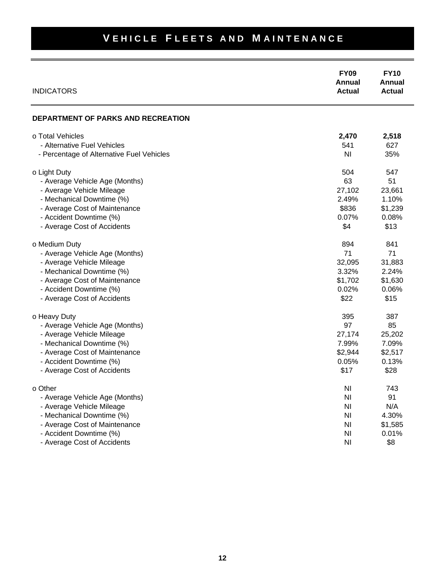| <b>INDICATORS</b>                         | <b>FY09</b><br>Annual<br><b>Actual</b> | <b>FY10</b><br>Annual<br><b>Actual</b> |
|-------------------------------------------|----------------------------------------|----------------------------------------|
| <b>DEPARTMENT OF PARKS AND RECREATION</b> |                                        |                                        |
| o Total Vehicles                          | 2,470                                  | 2,518                                  |
| - Alternative Fuel Vehicles               | 541                                    | 627                                    |
| - Percentage of Alternative Fuel Vehicles | ΝI                                     | 35%                                    |
| o Light Duty                              | 504                                    | 547                                    |
| - Average Vehicle Age (Months)            | 63                                     | 51                                     |
| - Average Vehicle Mileage                 | 27,102                                 | 23,661                                 |
| - Mechanical Downtime (%)                 | 2.49%                                  | 1.10%                                  |
| - Average Cost of Maintenance             | \$836                                  | \$1,239                                |
| - Accident Downtime (%)                   | 0.07%                                  | 0.08%                                  |
| - Average Cost of Accidents               | \$4                                    | \$13                                   |
| o Medium Duty                             | 894                                    | 841                                    |
| - Average Vehicle Age (Months)            | 71                                     | 71                                     |
| - Average Vehicle Mileage                 | 32,095                                 | 31,883                                 |
| - Mechanical Downtime (%)                 | 3.32%                                  | 2.24%                                  |
| - Average Cost of Maintenance             | \$1,702                                | \$1,630                                |
| - Accident Downtime (%)                   | 0.02%                                  | 0.06%                                  |
| - Average Cost of Accidents               | \$22                                   | \$15                                   |
| o Heavy Duty                              | 395                                    | 387                                    |
| - Average Vehicle Age (Months)            | 97                                     | 85                                     |
| - Average Vehicle Mileage                 | 27,174                                 | 25,202                                 |
| - Mechanical Downtime (%)                 | 7.99%                                  | 7.09%                                  |
| - Average Cost of Maintenance             | \$2,944                                | \$2,517                                |
| - Accident Downtime (%)                   | 0.05%                                  | 0.13%                                  |
| - Average Cost of Accidents               | \$17                                   | \$28                                   |
| o Other                                   | ΝI                                     | 743                                    |
| - Average Vehicle Age (Months)            | N <sub>l</sub>                         | 91                                     |
| - Average Vehicle Mileage                 | N <sub>l</sub>                         | N/A                                    |
| - Mechanical Downtime (%)                 | N <sub>l</sub>                         | 4.30%                                  |
| - Average Cost of Maintenance             | N <sub>l</sub>                         | \$1,585                                |
| - Accident Downtime (%)                   | N <sub>l</sub>                         | 0.01%                                  |
| - Average Cost of Accidents               | N <sub>l</sub>                         | \$8                                    |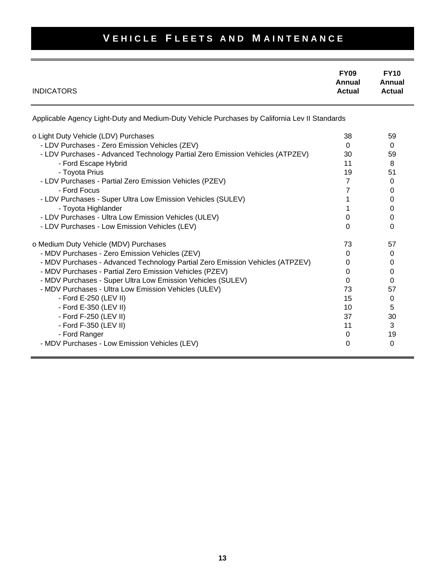| <b>INDICATORS</b>                                                                             | <b>FY09</b><br>Annual<br><b>Actual</b> | <b>FY10</b><br>Annual<br>Actual |
|-----------------------------------------------------------------------------------------------|----------------------------------------|---------------------------------|
| Applicable Agency Light-Duty and Medium-Duty Vehicle Purchases by California Lev II Standards |                                        |                                 |
| o Light Duty Vehicle (LDV) Purchases                                                          | 38                                     | 59                              |
| - LDV Purchases - Zero Emission Vehicles (ZEV)                                                | $\Omega$                               | $\Omega$                        |
| - LDV Purchases - Advanced Technology Partial Zero Emission Vehicles (ATPZEV)                 | 30                                     | 59                              |
| - Ford Escape Hybrid                                                                          | 11                                     | 8                               |
| - Toyota Prius                                                                                | 19                                     | 51                              |
| - LDV Purchases - Partial Zero Emission Vehicles (PZEV)                                       | $\overline{7}$                         | $\Omega$                        |
| - Ford Focus                                                                                  | 7                                      | 0                               |
| - LDV Purchases - Super Ultra Low Emission Vehicles (SULEV)                                   | 1                                      | 0                               |
| - Toyota Highlander                                                                           |                                        | 0                               |
| - LDV Purchases - Ultra Low Emission Vehicles (ULEV)                                          | 0                                      | 0                               |
| - LDV Purchases - Low Emission Vehicles (LEV)                                                 | 0                                      | 0                               |
| o Medium Duty Vehicle (MDV) Purchases                                                         | 73                                     | 57                              |
| - MDV Purchases - Zero Emission Vehicles (ZEV)                                                | $\Omega$                               | $\Omega$                        |
| - MDV Purchases - Advanced Technology Partial Zero Emission Vehicles (ATPZEV)                 | 0                                      | 0                               |
| - MDV Purchases - Partial Zero Emission Vehicles (PZEV)                                       | 0                                      | 0                               |
| - MDV Purchases - Super Ultra Low Emission Vehicles (SULEV)                                   | $\Omega$                               | 0                               |
| - MDV Purchases - Ultra Low Emission Vehicles (ULEV)                                          | 73                                     | 57                              |
| - Ford E-250 (LEV II)                                                                         | 15                                     | 0                               |
| - Ford E-350 (LEV II)                                                                         | 10                                     | 5                               |
| - Ford F-250 (LEV II)                                                                         | 37                                     | 30                              |
| - Ford F-350 (LEV II)                                                                         | 11                                     | 3                               |
| - Ford Ranger                                                                                 | 0                                      | 19                              |
| - MDV Purchases - Low Emission Vehicles (LEV)                                                 | 0                                      | $\Omega$                        |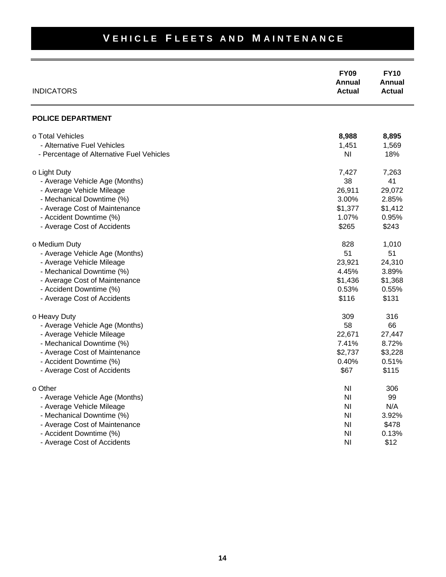| <b>INDICATORS</b>                         | <b>FY09</b><br>Annual<br><b>Actual</b> | <b>FY10</b><br>Annual<br><b>Actual</b> |
|-------------------------------------------|----------------------------------------|----------------------------------------|
| <b>POLICE DEPARTMENT</b>                  |                                        |                                        |
| o Total Vehicles                          | 8,988                                  | 8,895                                  |
| - Alternative Fuel Vehicles               | 1,451                                  | 1,569                                  |
| - Percentage of Alternative Fuel Vehicles | N <sub>l</sub>                         | 18%                                    |
| o Light Duty                              | 7,427                                  | 7,263                                  |
| - Average Vehicle Age (Months)            | 38                                     | 41                                     |
| - Average Vehicle Mileage                 | 26,911                                 | 29,072                                 |
| - Mechanical Downtime (%)                 | 3.00%                                  | 2.85%                                  |
| - Average Cost of Maintenance             | \$1,377                                | \$1,412                                |
| - Accident Downtime (%)                   | 1.07%                                  | 0.95%                                  |
| - Average Cost of Accidents               | \$265                                  | \$243                                  |
| o Medium Duty                             | 828                                    | 1,010                                  |
| - Average Vehicle Age (Months)            | 51                                     | 51                                     |
| - Average Vehicle Mileage                 | 23,921                                 | 24,310                                 |
| - Mechanical Downtime (%)                 | 4.45%                                  | 3.89%                                  |
| - Average Cost of Maintenance             | \$1,436                                | \$1,368                                |
| - Accident Downtime (%)                   | 0.53%                                  | 0.55%                                  |
| - Average Cost of Accidents               | \$116                                  | \$131                                  |
| o Heavy Duty                              | 309                                    | 316                                    |
| - Average Vehicle Age (Months)            | 58                                     | 66                                     |
| - Average Vehicle Mileage                 | 22,671                                 | 27,447                                 |
| - Mechanical Downtime (%)                 | 7.41%                                  | 8.72%                                  |
| - Average Cost of Maintenance             | \$2,737                                | \$3,228                                |
| - Accident Downtime (%)                   | 0.40%                                  | 0.51%                                  |
| - Average Cost of Accidents               | \$67                                   | \$115                                  |
| o Other                                   | NI                                     | 306                                    |
| - Average Vehicle Age (Months)            | <b>NI</b>                              | 99                                     |
| - Average Vehicle Mileage                 | <b>NI</b>                              | N/A                                    |
| - Mechanical Downtime (%)                 | <b>NI</b>                              | 3.92%                                  |
| - Average Cost of Maintenance             | <b>NI</b>                              | \$478                                  |
| - Accident Downtime (%)                   | N <sub>l</sub>                         | 0.13%                                  |
| - Average Cost of Accidents               | N <sub>l</sub>                         | \$12                                   |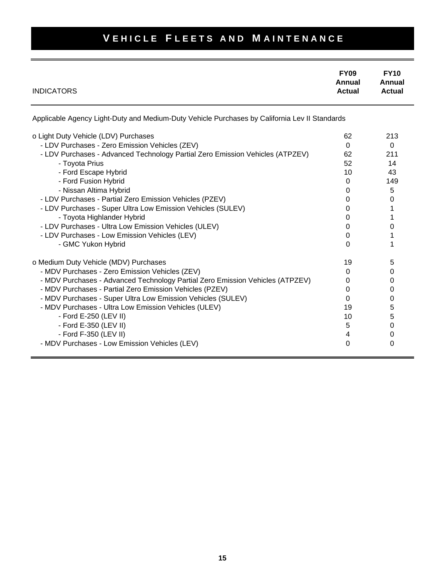| <b>INDICATORS</b>                                                                                                                                                                                                                                                                                                                                                                                                                                                                                                                                          | <b>FY09</b><br>Annual<br><b>Actual</b>                                          | <b>FY10</b><br>Annual<br><b>Actual</b>                                  |
|------------------------------------------------------------------------------------------------------------------------------------------------------------------------------------------------------------------------------------------------------------------------------------------------------------------------------------------------------------------------------------------------------------------------------------------------------------------------------------------------------------------------------------------------------------|---------------------------------------------------------------------------------|-------------------------------------------------------------------------|
| Applicable Agency Light-Duty and Medium-Duty Vehicle Purchases by California Lev II Standards                                                                                                                                                                                                                                                                                                                                                                                                                                                              |                                                                                 |                                                                         |
| o Light Duty Vehicle (LDV) Purchases<br>- LDV Purchases - Zero Emission Vehicles (ZEV)<br>- LDV Purchases - Advanced Technology Partial Zero Emission Vehicles (ATPZEV)<br>- Toyota Prius<br>- Ford Escape Hybrid<br>- Ford Fusion Hybrid<br>- Nissan Altima Hybrid<br>- LDV Purchases - Partial Zero Emission Vehicles (PZEV)<br>- LDV Purchases - Super Ultra Low Emission Vehicles (SULEV)<br>- Toyota Highlander Hybrid<br>- LDV Purchases - Ultra Low Emission Vehicles (ULEV)<br>- LDV Purchases - Low Emission Vehicles (LEV)<br>- GMC Yukon Hybrid | 62<br>$\Omega$<br>62<br>52<br>10<br>0<br>0<br>0<br>0<br>0<br>0<br>0<br>$\Omega$ | 213<br>$\Omega$<br>211<br>14<br>43<br>149<br>5<br>0<br>1<br>1<br>0<br>1 |
| o Medium Duty Vehicle (MDV) Purchases<br>- MDV Purchases - Zero Emission Vehicles (ZEV)<br>- MDV Purchases - Advanced Technology Partial Zero Emission Vehicles (ATPZEV)<br>- MDV Purchases - Partial Zero Emission Vehicles (PZEV)<br>- MDV Purchases - Super Ultra Low Emission Vehicles (SULEV)<br>- MDV Purchases - Ultra Low Emission Vehicles (ULEV)<br>- Ford E-250 (LEV II)<br>- Ford E-350 (LEV II)<br>- Ford F-350 (LEV II)<br>- MDV Purchases - Low Emission Vehicles (LEV)                                                                     | 19<br>0<br>0<br>0<br>0<br>19<br>10<br>5<br>4<br>0                               | 5<br>0<br>0<br>0<br>0<br>5<br>5<br>0<br>0<br>0                          |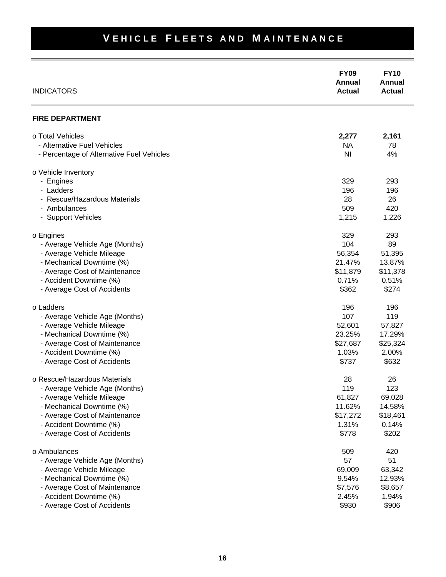#### **FY09 FY10 Annual Annual INDICATORS Actual Actual Actual Actual Actual Actual Actual FIRE DEPARTMENT** o Total Vehicles **2,277 2,161** - Alternative Fuel Vehicles NA 78 - Percentage of Alternative Fuel Vehicles NI 4% o Vehicle Inventory - Engines 329 293 - Ladders 196 196 - Rescue/Hazardous Materials 28 26 - Ambulances 420 - Support Vehicles 1,215 1,226 o Engines 329 293 - Average Vehicle Age (Months) 2008 104 2010 104 29 - Average Vehicle Mileage 56,354 51,395 - Mechanical Downtime (%) 21.47% 13.87% - Average Cost of Maintenance **\$11,879** \$11,378 - Accident Downtime (%) and the contract of the contract of the contract of the contract of the contract of the contract of the contract of the contract of the contract of the contract of the contract of the contract of th - Average Cost of Accidents  $$274$ o Ladders 196 196 - Average Vehicle Age (Months) 107 119 - Average Vehicle Mileage 52,601 57,827 - Mechanical Downtime (%) 23.25% 17.29% - Average Cost of Maintenance **\$27,687** \$25,324 - Accident Downtime (%) 2.00% 2.00% - Average Cost of Accidents  $$632$ o Rescue/Hazardous Materials 28 26 - Average Vehicle Age (Months) 119 123 - Average Vehicle Mileage 61,827 69,028 - Mechanical Downtime (%) 11.62% 14.58% - Average Cost of Maintenance **\$17,272** \$18,461 - Accident Downtime (%) 1.31% 0.14% - Average Cost of Accidents  $$202$ o Ambulances 509 420 - Average Vehicle Age (Months) 57 51 - Average Vehicle Mileage 69,009 63,342 - Mechanical Downtime (%) 9.54% 12.93% - Average Cost of Maintenance **\$7,576** \$8,657 - Accident Downtime (%) 2.45% 1.94% - Average Cost of Accidents  $\sim$  8906 \$906 \$906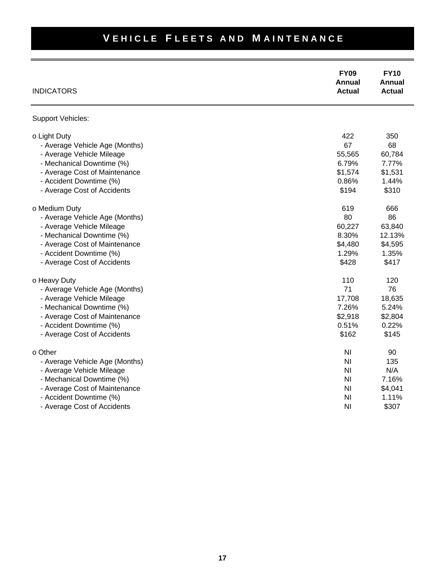#### **FY09 FY10 Annual Annual INDICATORS Actual Actual Actual Actual Actual Actual Actual** Support Vehicles: o Light Duty 350 - Average Vehicle Age (Months) 68 and 50 and 50 and 50 and 50 and 50 and 50 and 50 and 50 and 50 and 50 and 50  $-$  68 - Average Vehicle Mileage 60,784 (1999) - 55,565 60,784 - Mechanical Downtime (%) 6.79% 7.77% - Average Cost of Maintenance \$1,574 \$1,531 - Accident Downtime (%) 0.86% 1.44% - Average Cost of Accidents **\$194** \$310 o Medium Duty 666 - Average Vehicle Age (Months) 80 86 - Average Vehicle Mileage 60,227 63,840 - Mechanical Downtime (%) 8.30% 12.13% - Average Cost of Maintenance **\$4,595**  $\frac{1}{3}$ - Accident Downtime (%) 1.35% - Average Cost of Accidents  $$417$ o Heavy Duty 120 and 120 and 120 and 120 and 120 and 120 and 120 and 120 and 120 and 120 and 120 and 120 and 120 and 120 and 120 and 120 and 120 and 120 and 120 and 120 and 120 and 120 and 120 and 120 and 120 and 120 and 1 - Average Vehicle Age (Months) 76 - Average Vehicle Mileage 17,708 18,635 - Mechanical Downtime (%) 7.26% 5.24% - Average Cost of Maintenance \$2,918 \$2,804 - Accident Downtime (%) and the contract of the contract of the contract of the contract of the contract of the contract of the contract of the contract of the contract of the contract of the contract of the contract of th - Average Cost of Accidents  $$145$ o Other NI 90 - Average Vehicle Age (Months) Ni 135 - Average Vehicle Mileage NI N/A - Mechanical Downtime (%) and the state of the state of the state of the state of the state of the state of the state of the state of the state of the state of the state of the state of the state of the state of the state - Average Cost of Maintenance **NI \$4,041 Average Cost of Maintenance** NI \$4,041 - Accident Downtime (%) and the state of the state of the state of the state of the state of the state of the state of the state of the state of the state of the state of the state of the state of the state of the state of

## **VEHICLE FLEETS AND MAINTENANCE**

- Average Cost of Accidents **NI \$307**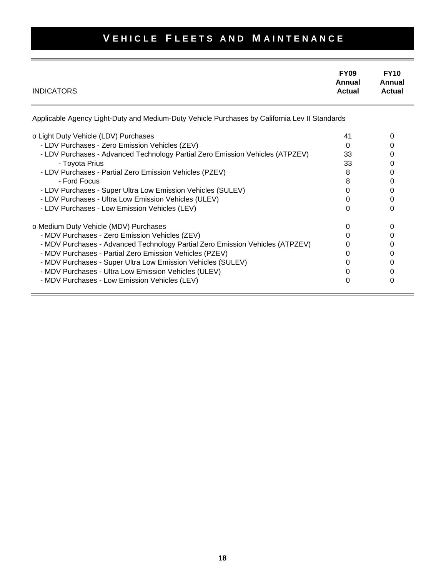| <b>INDICATORS</b>                                                                             | <b>FY09</b><br>Annual<br><b>Actual</b> | <b>FY10</b><br>Annual<br><b>Actual</b> |
|-----------------------------------------------------------------------------------------------|----------------------------------------|----------------------------------------|
| Applicable Agency Light-Duty and Medium-Duty Vehicle Purchases by California Lev II Standards |                                        |                                        |
| o Light Duty Vehicle (LDV) Purchases                                                          | 41                                     | 0                                      |
| - LDV Purchases - Zero Emission Vehicles (ZEV)                                                | 0                                      | 0                                      |
| - LDV Purchases - Advanced Technology Partial Zero Emission Vehicles (ATPZEV)                 | 33                                     | 0                                      |
| - Toyota Prius                                                                                | 33                                     | 0                                      |
| - LDV Purchases - Partial Zero Emission Vehicles (PZEV)                                       | 8                                      | 0                                      |
| - Ford Focus                                                                                  | 8                                      | 0                                      |
| - LDV Purchases - Super Ultra Low Emission Vehicles (SULEV)                                   | 0                                      | 0                                      |
| - LDV Purchases - Ultra Low Emission Vehicles (ULEV)                                          | 0                                      | 0                                      |
| - LDV Purchases - Low Emission Vehicles (LEV)                                                 | 0                                      | 0                                      |
| o Medium Duty Vehicle (MDV) Purchases                                                         | 0                                      | 0                                      |
| - MDV Purchases - Zero Emission Vehicles (ZEV)                                                |                                        | 0                                      |
| - MDV Purchases - Advanced Technology Partial Zero Emission Vehicles (ATPZEV)                 |                                        | 0                                      |
| - MDV Purchases - Partial Zero Emission Vehicles (PZEV)                                       |                                        | 0                                      |
| - MDV Purchases - Super Ultra Low Emission Vehicles (SULEV)                                   |                                        | 0                                      |
| - MDV Purchases - Ultra Low Emission Vehicles (ULEV)                                          |                                        | O                                      |
| - MDV Purchases - Low Emission Vehicles (LEV)                                                 |                                        |                                        |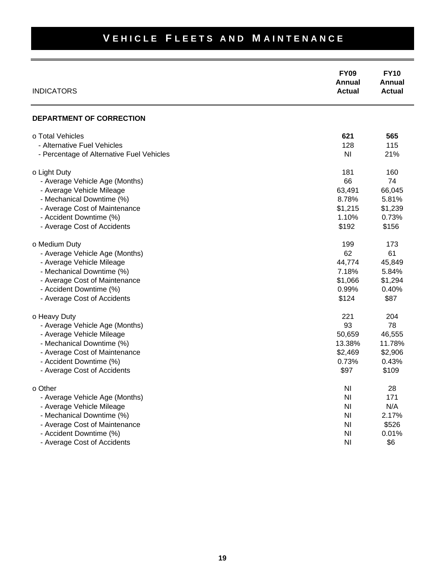#### **FY09 FY10 Annual Annual INDICATORS Actual Actual Actual Actual Actual Actual Actual VEHICLE FLEETS AND MAINTENANCE DEPARTMENT OF CORRECTION** o Total Vehicles **621 565** - Alternative Fuel Vehicles **128** 115 - Percentage of Alternative Fuel Vehicles NI 21% o Light Duty 180 - Average Vehicle Age (Months) 66 74 - Average Vehicle Mileage 63,491 66,045 - Mechanical Downtime (%) 8.78% 5.81% - Average Cost of Maintenance **\$1,239**  $\overline{\phantom{0}}$  \$1,239 - Accident Downtime (%) 2.10% 0.73% - Average Cost of Accidents  $$156$ o Medium Duty 173 - Average Vehicle Age (Months) 62 61 - Average Vehicle Mileage 45,849 and the state of the state of the 44,774 and 44,774 and 45,849 - Mechanical Downtime (%) 7.18% 5.84% - Average Cost of Maintenance **\$1,294**  $\overline{\phantom{0}}$  \$1,294 - Accident Downtime (%) 0.99% 0.40% - Average Cost of Accidents  $$124$   $$87$ o Heavy Duty 204 - Average Vehicle Age (Months) 83 78 - Average Vehicle Mileage 50,659 46,555 - Mechanical Downtime (%) 13.38% 11.78% - Average Cost of Maintenance **\$2,906** \$2,906 - Accident Downtime (%) 0.73% 0.43% - Average Cost of Accidents  $$97$  \$109 o Other NI 28 and 28 and 28 and 28 and 28 and 28 and 28 and 28 and 28 and 28 and 28 and 28 and 28 and 28 and 2 - Average Vehicle Age (Months) NI 171 - Average Vehicle Mileage NI N/A - Mechanical Downtime (%) and the state of the state of the state of the state of the state of the state of the state of the state of the state of the state of the state of the state of the state of the state of the state - Average Cost of Maintenance NI \$526 - Accident Downtime (%) and the state of the state of the state of the state of the state of the state of the state of the state of the state of the state of the state of the state of the state of the state of the state of

- Average Cost of Accidents **NI \$6** and  $\frac{1}{6}$  and  $\frac{1}{6}$  and  $\frac{1}{6}$  and  $\frac{1}{6}$  and  $\frac{1}{6}$  and  $\frac{1}{6}$  and  $\frac{1}{6}$  and  $\frac{1}{6}$  and  $\frac{1}{6}$  and  $\frac{1}{6}$  and  $\frac{1}{6}$  and  $\frac{1}{6}$  and  $\frac{1}{6}$  and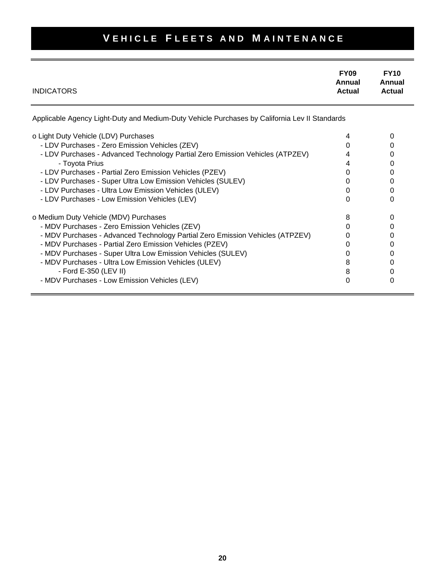| <b>INDICATORS</b> | <b>FY09</b><br>Annual<br><b>Actual</b> | <b>FY10</b><br>Annual<br><b>Actual</b> |
|-------------------|----------------------------------------|----------------------------------------|
|                   |                                        |                                        |

Applicable Agency Light-Duty and Medium-Duty Vehicle Purchases by California Lev II Standards

| o Light Duty Vehicle (LDV) Purchases<br>- LDV Purchases - Zero Emission Vehicles (ZEV) |  |
|----------------------------------------------------------------------------------------|--|
| - LDV Purchases - Advanced Technology Partial Zero Emission Vehicles (ATPZEV)          |  |
| - Toyota Prius                                                                         |  |
| - LDV Purchases - Partial Zero Emission Vehicles (PZEV)                                |  |
| - LDV Purchases - Super Ultra Low Emission Vehicles (SULEV)                            |  |
| - LDV Purchases - Ultra Low Emission Vehicles (ULEV)                                   |  |
| - LDV Purchases - Low Emission Vehicles (LEV)                                          |  |
| o Medium Duty Vehicle (MDV) Purchases                                                  |  |
| - MDV Purchases - Zero Emission Vehicles (ZEV)                                         |  |
| - MDV Purchases - Advanced Technology Partial Zero Emission Vehicles (ATPZEV)          |  |
| - MDV Purchases - Partial Zero Emission Vehicles (PZEV)                                |  |
| - MDV Purchases - Super Ultra Low Emission Vehicles (SULEV)                            |  |
| - MDV Purchases - Ultra Low Emission Vehicles (ULEV)                                   |  |
| - Ford E-350 (LEV II)                                                                  |  |
| - MDV Purchases - Low Emission Vehicles (LEV)                                          |  |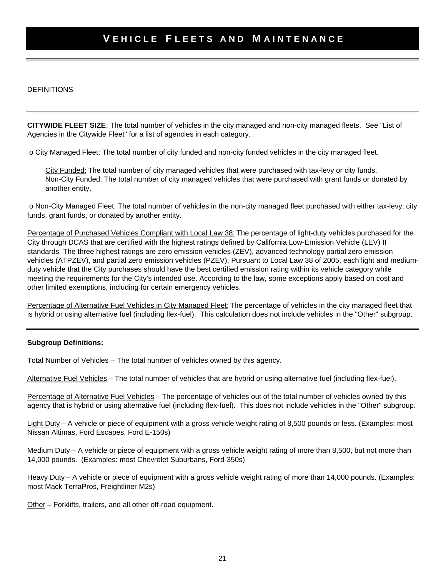DEFINITIONS

**CITYWIDE FLEET SIZE**: The total number of vehicles in the city managed and non-city managed fleets. See "List of Agencies in the Citywide Fleet" for a list of agencies in each category.

o City Managed Fleet: The total number of city funded and non-city funded vehicles in the city managed fleet.

City Funded: The total number of city managed vehicles that were purchased with tax-levy or city funds. Non-City Funded: The total number of city managed vehicles that were purchased with grant funds or donated by another entity.

 o Non-City Managed Fleet: The total number of vehicles in the non-city managed fleet purchased with either tax-levy, city funds, grant funds, or donated by another entity.

Percentage of Purchased Vehicles Compliant with Local Law 38: The percentage of light-duty vehicles purchased for the City through DCAS that are certified with the highest ratings defined by California Low-Emission Vehicle (LEV) II standards. The three highest ratings are zero emission vehicles (ZEV), advanced technology partial zero emission vehicles (ATPZEV), and partial zero emission vehicles (PZEV). Pursuant to Local Law 38 of 2005, each light and mediumduty vehicle that the City purchases should have the best certified emission rating within its vehicle category while meeting the requirements for the City's intended use. According to the law, some exceptions apply based on cost and other limited exemptions, including for certain emergency vehicles.

Percentage of Alternative Fuel Vehicles in City Managed Fleet: The percentage of vehicles in the city managed fleet that is hybrid or using alternative fuel (including flex-fuel). This calculation does not include vehicles in the "Other" subgroup.

#### **Subgroup Definitions:**

Total Number of Vehicles – The total number of vehicles owned by this agency.

Alternative Fuel Vehicles – The total number of vehicles that are hybrid or using alternative fuel (including flex-fuel).

Percentage of Alternative Fuel Vehicles – The percentage of vehicles out of the total number of vehicles owned by this agency that is hybrid or using alternative fuel (including flex-fuel). This does not include vehicles in the "Other" subgroup.

Light Duty – A vehicle or piece of equipment with a gross vehicle weight rating of 8,500 pounds or less. (Examples: most Nissan Altimas, Ford Escapes, Ford E-150s)

Medium Duty – A vehicle or piece of equipment with a gross vehicle weight rating of more than 8,500, but not more than 14,000 pounds. (Examples: most Chevrolet Suburbans, Ford-350s)

Heavy Duty – A vehicle or piece of equipment with a gross vehicle weight rating of more than 14,000 pounds. (Examples: most Mack TerraPros, Freightliner M2s)

Other – Forklifts, trailers, and all other off-road equipment.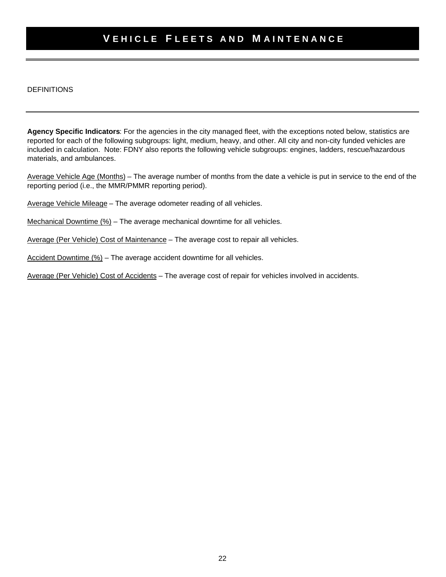#### DEFINITIONS

**Agency Specific Indicators**: For the agencies in the city managed fleet, with the exceptions noted below, statistics are reported for each of the following subgroups: light, medium, heavy, and other. All city and non-city funded vehicles are included in calculation. Note: FDNY also reports the following vehicle subgroups: engines, ladders, rescue/hazardous materials, and ambulances.

Average Vehicle Age (Months) – The average number of months from the date a vehicle is put in service to the end of the reporting period (i.e., the MMR/PMMR reporting period).

Average Vehicle Mileage – The average odometer reading of all vehicles.

Mechanical Downtime (%) – The average mechanical downtime for all vehicles.

Average (Per Vehicle) Cost of Maintenance – The average cost to repair all vehicles.

Accident Downtime (%) – The average accident downtime for all vehicles.

Average (Per Vehicle) Cost of Accidents – The average cost of repair for vehicles involved in accidents.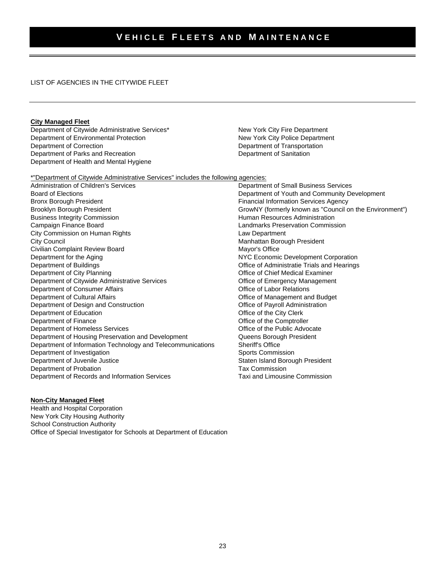LIST OF AGENCIES IN THE CITYWIDE FLEET

#### **City Managed Fleet**

Department of Citywide Administrative Services\* New York City Fire Department<br>
Department of Environmental Protection<br>
New York City Police Department Department of Environmental Protection Department of Correction **Department of Transportation** Department of Parks and Recreation Department of Sanitation Department of Sanitation Department of Health and Mental Hygiene

\*"Department of Citywide Administrative Services" includes the following agencies:

Administration of Children's Services<br>Board of Elections Department of Small Business Services<br>Department of Youth and Community De Board of Elections<br>
Bronx Borough President<br>
Bronx Borough President<br>
Bronx Borough President Financial Information Services Agency Brooklyn Borough President Grow Communication CrowNY (formerly known as "Council on the Environment") Business Integrity Commission **Figure 2018 Human Resources Administration** Campaign Finance Board Landmarks Preservation Commission City Commission on Human Rights Law Department City Council City Council City Council City Council City Council City Council City Council City Council City Council City Council City Council City Council City Council City Council City Council City Council City Council C Civilian Complaint Review Board Department for the Aging<br>
Department of Buildings<br>
Department of Buildings<br>
Office of Administratie Trials and Hearings Office of Administratie Trials and Hearings Department of City Planning **Community** Community Community Community Community Community Community Community Community Community Community Community Community Community Community Community Community Community Community Co Department of Citywide Administrative Services **Conserversity** Office of Emergency Management Department of Consumer Affairs **Consumer Affairs** Account Consumer Affairs **Consumer Affairs** Consumer Affairs **Consumer Affairs** Department of Cultural Affairs **Cultural Affairs** Cultural Affairs **Cultural Affairs** Office of Management and Budget Department of Design and Construction **Office of Payroll Administration** Department of Design and Construction Department of Education **Department of Education** Christ Clerk Comptrolle<br>
Department of Finance **Office of the Comptrolle** Office of the Comptroller Department of Homeless Services **Contains a Container Container Container** Office of the Public Advocate Department of Housing Preservation and Development Queens Borough President Department of Information Technology and Telecommunications Sheriff's Office Department of Investigation Sports Commission Department of Juvenile Justice Staten Island Borough President Department of Probation<br>
Department of Records and Information Services
Taxi and Limousine Commission Department of Records and Information Services

#### **Non-City Managed Fleet**

Health and Hospital Corporation New York City Housing Authority School Construction Authority Office of Special Investigator for Schools at Department of Education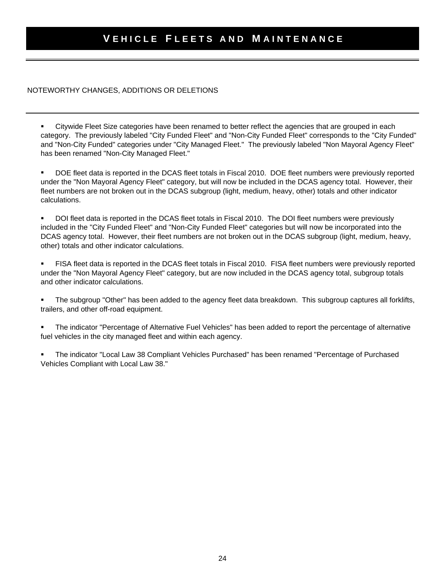#### NOTEWORTHY CHANGES, ADDITIONS OR DELETIONS

 Citywide Fleet Size categories have been renamed to better reflect the agencies that are grouped in each category. The previously labeled "City Funded Fleet" and "Non-City Funded Fleet" corresponds to the "City Funded" and "Non-City Funded" categories under "City Managed Fleet." The previously labeled "Non Mayoral Agency Fleet" has been renamed "Non-City Managed Fleet."

 DOE fleet data is reported in the DCAS fleet totals in Fiscal 2010. DOE fleet numbers were previously reported under the "Non Mayoral Agency Fleet" category, but will now be included in the DCAS agency total. However, their fleet numbers are not broken out in the DCAS subgroup (light, medium, heavy, other) totals and other indicator calculations.

 DOI fleet data is reported in the DCAS fleet totals in Fiscal 2010. The DOI fleet numbers were previously included in the "City Funded Fleet" and "Non-City Funded Fleet" categories but will now be incorporated into the DCAS agency total. However, their fleet numbers are not broken out in the DCAS subgroup (light, medium, heavy, other) totals and other indicator calculations.

 FISA fleet data is reported in the DCAS fleet totals in Fiscal 2010. FISA fleet numbers were previously reported under the "Non Mayoral Agency Fleet" category, but are now included in the DCAS agency total, subgroup totals and other indicator calculations.

 The subgroup "Other" has been added to the agency fleet data breakdown. This subgroup captures all forklifts, trailers, and other off-road equipment.

 The indicator "Percentage of Alternative Fuel Vehicles" has been added to report the percentage of alternative fuel vehicles in the city managed fleet and within each agency.

 The indicator "Local Law 38 Compliant Vehicles Purchased" has been renamed "Percentage of Purchased Vehicles Compliant with Local Law 38."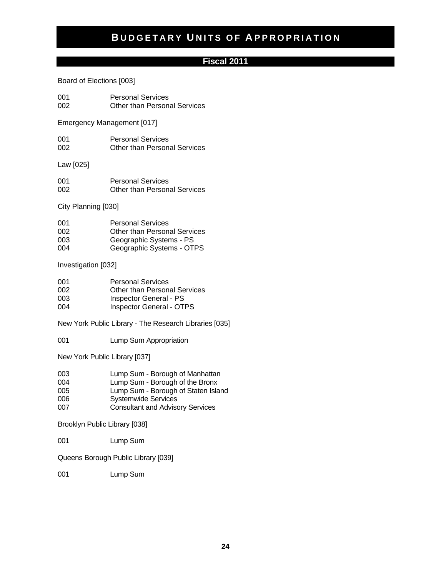#### **Fiscal 2011**

Board of Elections [003]

001 Personal Services<br>002 Other than Person Other than Personal Services

Emergency Management [017]

| 001 | <b>Personal Services</b>            |
|-----|-------------------------------------|
| 002 | <b>Other than Personal Services</b> |

Law [025]

| 001 | <b>Personal Services</b>            |
|-----|-------------------------------------|
| 002 | <b>Other than Personal Services</b> |

City Planning [030]

| 001 | <b>Personal Services</b>            |
|-----|-------------------------------------|
| 002 | <b>Other than Personal Services</b> |
| 003 | Geographic Systems - PS             |
| 004 | Geographic Systems - OTPS           |

Investigation [032]

| 001 | <b>Personal Services</b>            |
|-----|-------------------------------------|
| 002 | <b>Other than Personal Services</b> |
| 003 | <b>Inspector General - PS</b>       |
| 004 | <b>Inspector General - OTPS</b>     |

New York Public Library - The Research Libraries [035]

001 Lump Sum Appropriation

New York Public Library [037]

| 003 | Lump Sum - Borough of Manhattan |
|-----|---------------------------------|
|-----|---------------------------------|

- 004 Lump Sum Borough of the Bronx
- 005 Lump Sum Borough of Staten Island<br>006 Systemwide Services
- Systemwide Services
- 007 Consultant and Advisory Services

Brooklyn Public Library [038]

001 Lump Sum

Queens Borough Public Library [039]

001 Lump Sum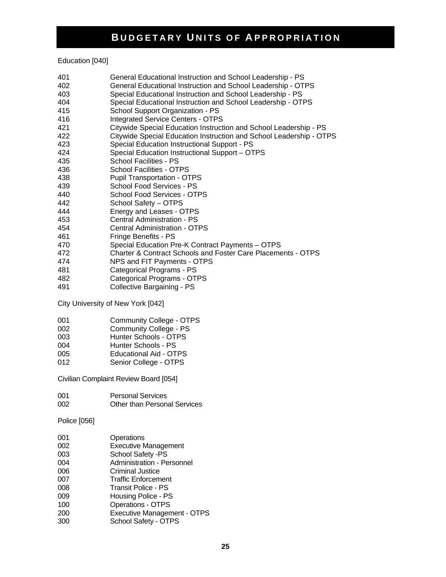Education [040]

- 401 General Educational Instruction and School Leadership PS
- 402 General Educational Instruction and School Leadership OTPS
- 403 Special Educational Instruction and School Leadership PS
- 404 Special Educational Instruction and School Leadership OTPS
- 415 School Support Organization PS
- 416 Integrated Service Centers OTPS
- 421 Citywide Special Education Instruction and School Leadership PS
- 422 Citywide Special Education Instruction and School Leadership OTPS
- 423 Special Education Instructional Support PS
- 424 Special Education Instructional Support OTPS
- 435 School Facilities PS
- 436 School Facilities OTPS
- 438 Pupil Transportation OTPS
- 439 School Food Services PS
- 440 School Food Services OTPS
- 442 School Safety OTPS
- 444 Energy and Leases OTPS
- 453 Central Administration PS
- Central Administration OTPS
- 461 Fringe Benefits PS
- 470 Special Education Pre-K Contract Payments OTPS
- 472 Charter & Contract Schools and Foster Care Placements OTPS
- 474 NPS and FIT Payments OTPS
- 481 Categorical Programs PS
- 482 Categorical Programs OTPS
- 491 Collective Bargaining PS

City University of New York [042]

- 001 Community College OTPS<br>002 Community College PS
- Community College PS
- 003 Hunter Schools OTPS
- 004 Hunter Schools PS
- 005 Educational Aid OTPS
- 012 Senior College OTPS

Civilian Complaint Review Board [054]

| 001 | <b>Personal Services</b>     |
|-----|------------------------------|
| 002 | Other than Personal Services |

#### Police [056]

| 001 | Operations                        |
|-----|-----------------------------------|
| 002 | <b>Executive Management</b>       |
|     |                                   |
| 003 | School Safety -PS                 |
| 004 | <b>Administration - Personnel</b> |
| 006 | <b>Criminal Justice</b>           |
| 007 | <b>Traffic Enforcement</b>        |
| 008 | <b>Transit Police - PS</b>        |
| 009 | Housing Police - PS               |
| 100 | <b>Operations - OTPS</b>          |
| 200 | Executive Management - OTPS       |
| 300 | School Safety - OTPS              |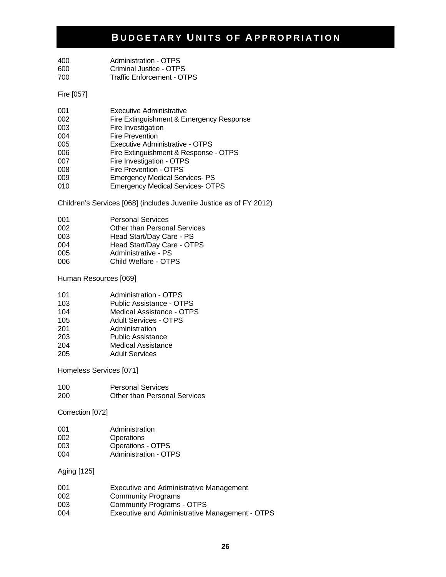| 400 | Administration - OTPS      |
|-----|----------------------------|
| 600 | Criminal Justice - OTPS    |
| 700 | Traffic Enforcement - OTPS |

Fire [057]

| 001 | <b>Executive Administrative</b>          |
|-----|------------------------------------------|
| 002 | Fire Extinguishment & Emergency Response |
| 003 | Fire Investigation                       |
| 004 | <b>Fire Prevention</b>                   |
| 005 | Executive Administrative - OTPS          |
| 006 | Fire Extinguishment & Response - OTPS    |
| 007 | Fire Investigation - OTPS                |
| 008 | Fire Prevention - OTPS                   |
| 009 | <b>Emergency Medical Services-PS</b>     |
| 010 | <b>Emergency Medical Services- OTPS</b>  |

Children's Services [068] (includes Juvenile Justice as of FY 2012)

| 001    | <b>Personal Services</b>                                                            |
|--------|-------------------------------------------------------------------------------------|
| 002    | <b>Other than Personal Services</b>                                                 |
| $\sim$ | $H_{\text{total}}(D_{\text{total}}/D_{\text{total}}(D_{\text{total}}-D_{\text{C}})$ |

- 003 Head Start/Day Care PS<br>004 Head Start/Day Care OT
- 004 Head Start/Day Care OTPS<br>005 Administrative PS Administrative - PS
- 006 Child Welfare OTPS

Human Resources [069]

| 101 | Administration - OTPS |
|-----|-----------------------|
|     |                       |

- 103 Public Assistance OTPS
- 104 Medical Assistance OTPS
- 105 Adult Services OTPS<br>201 Administration
- Administration
- 203 Public Assistance 204 Medical Assistance
- 205 Adult Services

Homeless Services [071]

| 100 | <b>Personal Services</b>            |
|-----|-------------------------------------|
| 200 | <b>Other than Personal Services</b> |

Correction [072]

| 001 | Administration               |
|-----|------------------------------|
| 002 | Operations                   |
| 003 | <b>Operations - OTPS</b>     |
| 004 | <b>Administration - OTPS</b> |

Aging [125]

| 001 | Executive and Administrative Management        |
|-----|------------------------------------------------|
| 002 | <b>Community Programs</b>                      |
| 003 | <b>Community Programs - OTPS</b>               |
| 004 | Executive and Administrative Management - OTPS |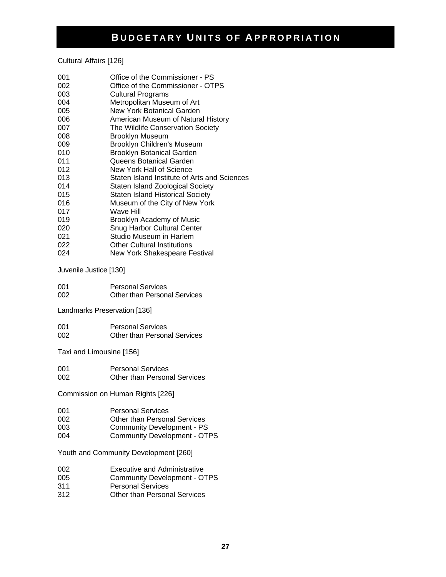Cultural Affairs [126]

| 001 | Office of the Commissioner - PS              |
|-----|----------------------------------------------|
| 002 | Office of the Commissioner - OTPS            |
| 003 | <b>Cultural Programs</b>                     |
| 004 | Metropolitan Museum of Art                   |
| 005 | New York Botanical Garden                    |
| 006 | American Museum of Natural History           |
| 007 | The Wildlife Conservation Society            |
| 008 | Brooklyn Museum                              |
| 009 | Brooklyn Children's Museum                   |
| 010 | <b>Brooklyn Botanical Garden</b>             |
| 011 | Queens Botanical Garden                      |
| 012 | New York Hall of Science                     |
| 013 | Staten Island Institute of Arts and Sciences |
| 014 | Staten Island Zoological Society             |
| 015 | <b>Staten Island Historical Society</b>      |
| 016 | Museum of the City of New York               |
| 017 | Wave Hill                                    |
| 019 | Brooklyn Academy of Music                    |
| 020 | <b>Snug Harbor Cultural Center</b>           |
| 021 | Studio Museum in Harlem                      |
| 022 | <b>Other Cultural Institutions</b>           |
| 024 | New York Shakespeare Festival                |

Juvenile Justice [130]

| 001 | <b>Personal Services</b>     |
|-----|------------------------------|
| 002 | Other than Personal Services |

Landmarks Preservation [136]

| 001 | <b>Personal Services</b>     |
|-----|------------------------------|
| 002 | Other than Personal Services |

Taxi and Limousine [156]

| 001 | <b>Personal Services</b>            |
|-----|-------------------------------------|
| 002 | <b>Other than Personal Services</b> |

Commission on Human Rights [226]

| 001 | <b>Personal Services</b> |
|-----|--------------------------|
|-----|--------------------------|

- 002 Other than Personal Services
- 003 Community Development PS<br>004 Community Development OT
- Community Development OTPS

Youth and Community Development [260]

- 002 Executive and Administrative<br>005 Community Development O
- 005 Community Development OTPS<br>311 Personal Services
- Personal Services
- 312 Other than Personal Services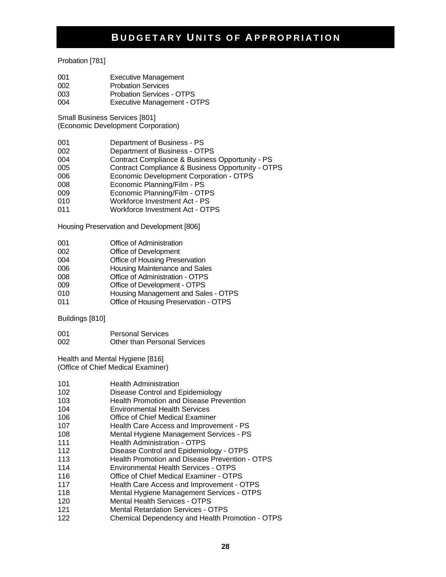#### Probation [781]

- 001 Executive Management
- 002 Probation Services
- 003 Probation Services OTPS
- 004 Executive Management OTPS

Small Business Services [801]

(Economic Development Corporation)

- 001 Department of Business PS
- 002 Department of Business OTPS
- 004 Contract Compliance & Business Opportunity PS
- 005 Contract Compliance & Business Opportunity OTPS<br>006 Economic Development Corporation OTPS
- Economic Development Corporation OTPS
- 008 Economic Planning/Film PS
- 009 Economic Planning/Film OTPS
- 010 Workforce Investment Act PS
- 011 Workforce Investment Act OTPS

Housing Preservation and Development [806]

- 001 Office of Administration
- 002 Office of Development
- 004 Office of Housing Preservation
- 006 Housing Maintenance and Sales
- 008 Office of Administration OTPS
- 009 Office of Development OTPS
- 010 Housing Management and Sales OTPS
- 011 Office of Housing Preservation OTPS

Buildings [810]

001 Personal Services 002 Other than Personal Services

Health and Mental Hygiene [816] (Office of Chief Medical Examiner)

| 101 | <b>Health Administration</b> |
|-----|------------------------------|
|     |                              |

- 102 Disease Control and Epidemiology
- 103 Health Promotion and Disease Prevention
- 104 Environmental Health Services
- 106 Office of Chief Medical Examiner
- 107 Health Care Access and Improvement PS
- 108 Mental Hygiene Management Services PS
- 111 **Health Administration OTPS**
- 112 Disease Control and Epidemiology OTPS
- 113 Health Promotion and Disease Prevention OTPS
- 114 Environmental Health Services OTPS
- 116 Office of Chief Medical Examiner OTPS
- 117 Health Care Access and Improvement OTPS
- 118 Mental Hygiene Management Services OTPS
- 120 Mental Health Services OTPS
- 121 Mental Retardation Services OTPS
- 122 Chemical Dependency and Health Promotion OTPS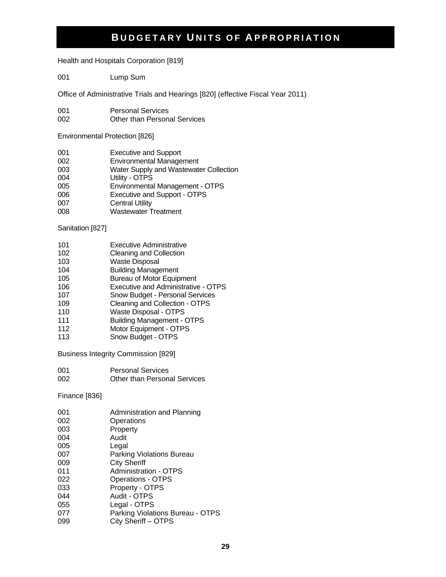Health and Hospitals Corporation [819]

001 Lump Sum

Office of Administrative Trials and Hearings [820] (effective Fiscal Year 2011)

- 001 Personal Services
- 002 Other than Personal Services

Environmental Protection [826]

| 001 | <b>Executive and Support</b>           |
|-----|----------------------------------------|
| 002 | <b>Environmental Management</b>        |
| 003 | Water Supply and Wastewater Collection |
| 004 | Utility - OTPS                         |
| 005 | Environmental Management - OTPS        |
| 006 | Executive and Support - OTPS           |
| 007 | <b>Central Utility</b>                 |
| 008 | <b>Wastewater Treatment</b>            |

Sanitation [827]

- 101 Executive Administrative<br>102 Cleaning and Collection
- **Cleaning and Collection**
- 103 Waste Disposal
- 104 Building Management
- 105 Bureau of Motor Equipment
- 106 Executive and Administrative OTPS
- 107 Snow Budget Personal Services
- 109 Cleaning and Collection OTPS
- 110 Waste Disposal OTPS
- 111 Building Management OTPS
- 112 Motor Equipment OTPS
- 113 Snow Budget OTPS

Business Integrity Commission [829]

001 Personal Services 002 Other than Personal Services

Finance [836]

| 001 | Administration and Planning      |
|-----|----------------------------------|
| 002 | Operations                       |
| 003 | Property                         |
| 004 | Audit                            |
| 005 | Legal                            |
| 007 | Parking Violations Bureau        |
| 009 | <b>City Sheriff</b>              |
| 011 | <b>Administration - OTPS</b>     |
| 022 | <b>Operations - OTPS</b>         |
| 033 | Property - OTPS                  |
| 044 | Audit - OTPS                     |
| 055 | Legal - OTPS                     |
| 077 | Parking Violations Bureau - OTPS |
| 099 | City Sheriff - OTPS              |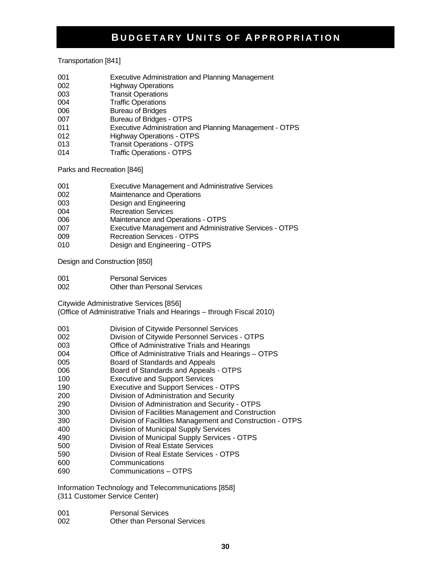Transportation [841]

- 001 Executive Administration and Planning Management
- 002 Highway Operations
- 003 Transit Operations
- 004 Traffic Operations
- 006 Bureau of Bridges
- 007 Bureau of Bridges OTPS
- 011 Executive Administration and Planning Management OTPS
- 012 Highway Operations OTPS
- 013 Transit Operations OTPS
- 014 Traffic Operations OTPS

Parks and Recreation [846]

- 001 Executive Management and Administrative Services
- 002 Maintenance and Operations
- 003 Design and Engineering
- 004 Recreation Services
- 006 Maintenance and Operations OTPS
- 007 Executive Management and Administrative Services OTPS
- 009 Recreation Services OTPS
- 010 Design and Engineering OTPS

Design and Construction [850]

- 001 Personal Services
- 002 Other than Personal Services

Citywide Administrative Services [856]

(Office of Administrative Trials and Hearings – through Fiscal 2010)

- 001 Division of Citywide Personnel Services
- 002 Division of Citywide Personnel Services OTPS
- 003 Office of Administrative Trials and Hearings
- 004 Office of Administrative Trials and Hearings OTPS
- 005 Board of Standards and Appeals
- 006 Board of Standards and Appeals OTPS
- 100 Executive and Support Services
- 190 Executive and Support Services OTPS
- 200 Division of Administration and Security
- 290 Division of Administration and Security OTPS
- 300 Division of Facilities Management and Construction
- 390 Division of Facilities Management and Construction OTPS
- 400 Division of Municipal Supply Services
- 490 Division of Municipal Supply Services OTPS
- 500 Division of Real Estate Services
- 590 Division of Real Estate Services OTPS
- 600 Communications
- 690 Communications OTPS

Information Technology and Telecommunications [858] (311 Customer Service Center)

- 001 Personal Services
- 002 Other than Personal Services